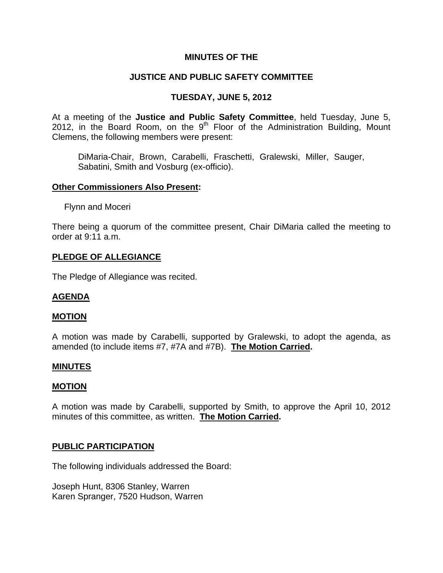# **MINUTES OF THE**

# **JUSTICE AND PUBLIC SAFETY COMMITTEE**

# **TUESDAY, JUNE 5, 2012**

At a meeting of the **Justice and Public Safety Committee**, held Tuesday, June 5, 2012, in the Board Room, on the  $9<sup>th</sup>$  Floor of the Administration Building, Mount Clemens, the following members were present:

DiMaria-Chair, Brown, Carabelli, Fraschetti, Gralewski, Miller, Sauger, Sabatini, Smith and Vosburg (ex-officio).

### **Other Commissioners Also Present:**

**Flynn and Moceri** 

There being a quorum of the committee present, Chair DiMaria called the meeting to order at 9:11 a.m.

### **PLEDGE OF ALLEGIANCE**

The Pledge of Allegiance was recited.

### **AGENDA**

#### **MOTION**

A motion was made by Carabelli, supported by Gralewski, to adopt the agenda, as amended (to include items #7, #7A and #7B). **The Motion Carried.** 

#### **MINUTES**

#### **MOTION**

A motion was made by Carabelli, supported by Smith, to approve the April 10, 2012 minutes of this committee, as written. **The Motion Carried.** 

### **PUBLIC PARTICIPATION**

The following individuals addressed the Board:

Joseph Hunt, 8306 Stanley, Warren Karen Spranger, 7520 Hudson, Warren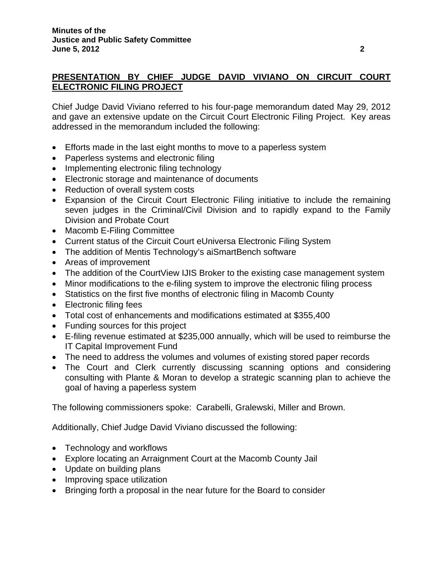# **PRESENTATION BY CHIEF JUDGE DAVID VIVIANO ON CIRCUIT COURT ELECTRONIC FILING PROJECT**

Chief Judge David Viviano referred to his four-page memorandum dated May 29, 2012 and gave an extensive update on the Circuit Court Electronic Filing Project. Key areas addressed in the memorandum included the following:

- Efforts made in the last eight months to move to a paperless system
- Paperless systems and electronic filing
- Implementing electronic filing technology
- Electronic storage and maintenance of documents
- Reduction of overall system costs
- Expansion of the Circuit Court Electronic Filing initiative to include the remaining seven judges in the Criminal/Civil Division and to rapidly expand to the Family Division and Probate Court
- Macomb E-Filing Committee
- Current status of the Circuit Court eUniversa Electronic Filing System
- The addition of Mentis Technology's aiSmartBench software
- Areas of improvement
- The addition of the CourtView IJIS Broker to the existing case management system
- Minor modifications to the e-filing system to improve the electronic filing process
- Statistics on the first five months of electronic filing in Macomb County
- Electronic filing fees
- Total cost of enhancements and modifications estimated at \$355,400
- Funding sources for this project
- E-filing revenue estimated at \$235,000 annually, which will be used to reimburse the IT Capital Improvement Fund
- The need to address the volumes and volumes of existing stored paper records
- The Court and Clerk currently discussing scanning options and considering consulting with Plante & Moran to develop a strategic scanning plan to achieve the goal of having a paperless system

The following commissioners spoke: Carabelli, Gralewski, Miller and Brown.

Additionally, Chief Judge David Viviano discussed the following:

- Technology and workflows
- Explore locating an Arraignment Court at the Macomb County Jail
- Update on building plans
- Improving space utilization
- Bringing forth a proposal in the near future for the Board to consider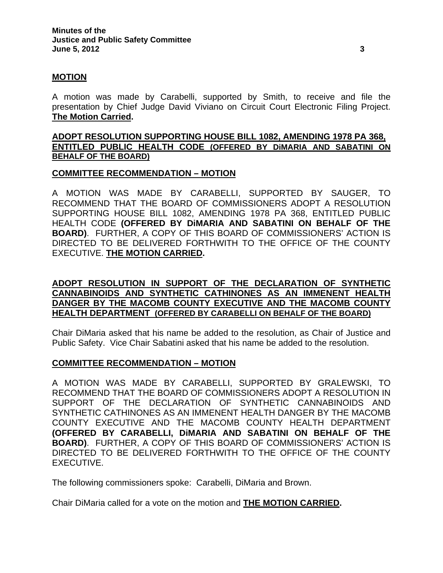## **MOTION**

A motion was made by Carabelli, supported by Smith, to receive and file the presentation by Chief Judge David Viviano on Circuit Court Electronic Filing Project. **The Motion Carried.** 

### **ADOPT RESOLUTION SUPPORTING HOUSE BILL 1082, AMENDING 1978 PA 368, ENTITLED PUBLIC HEALTH CODE (OFFERED BY DiMARIA AND SABATINI ON BEHALF OF THE BOARD)**

## **COMMITTEE RECOMMENDATION – MOTION**

A MOTION WAS MADE BY CARABELLI, SUPPORTED BY SAUGER, TO RECOMMEND THAT THE BOARD OF COMMISSIONERS ADOPT A RESOLUTION SUPPORTING HOUSE BILL 1082, AMENDING 1978 PA 368, ENTITLED PUBLIC HEALTH CODE **(OFFERED BY DiMARIA AND SABATINI ON BEHALF OF THE BOARD)**. FURTHER, A COPY OF THIS BOARD OF COMMISSIONERS' ACTION IS DIRECTED TO BE DELIVERED FORTHWITH TO THE OFFICE OF THE COUNTY EXECUTIVE. **THE MOTION CARRIED.** 

# **ADOPT RESOLUTION IN SUPPORT OF THE DECLARATION OF SYNTHETIC CANNABINOIDS AND SYNTHETIC CATHINONES AS AN IMMENENT HEALTH DANGER BY THE MACOMB COUNTY EXECUTIVE AND THE MACOMB COUNTY HEALTH DEPARTMENT (OFFERED BY CARABELLI ON BEHALF OF THE BOARD)**

Chair DiMaria asked that his name be added to the resolution, as Chair of Justice and Public Safety. Vice Chair Sabatini asked that his name be added to the resolution.

### **COMMITTEE RECOMMENDATION – MOTION**

A MOTION WAS MADE BY CARABELLI, SUPPORTED BY GRALEWSKI, TO RECOMMEND THAT THE BOARD OF COMMISSIONERS ADOPT A RESOLUTION IN SUPPORT OF THE DECLARATION OF SYNTHETIC CANNABINOIDS AND SYNTHETIC CATHINONES AS AN IMMENENT HEALTH DANGER BY THE MACOMB COUNTY EXECUTIVE AND THE MACOMB COUNTY HEALTH DEPARTMENT **(OFFERED BY CARABELLI, DiMARIA AND SABATINI ON BEHALF OF THE BOARD)**. FURTHER, A COPY OF THIS BOARD OF COMMISSIONERS' ACTION IS DIRECTED TO BE DELIVERED FORTHWITH TO THE OFFICE OF THE COUNTY EXECUTIVE.

The following commissioners spoke: Carabelli, DiMaria and Brown.

Chair DiMaria called for a vote on the motion and **THE MOTION CARRIED.**